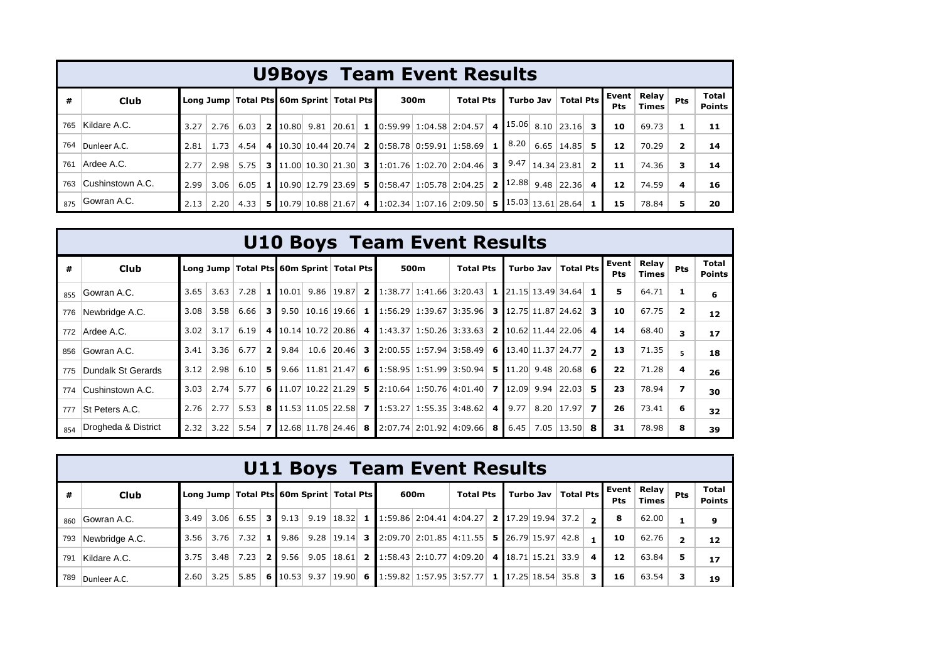|     |                      |                                              |             |      |  |      |                  | <b>U9Boys Team Event Results</b>                                                                                                                                          |                       |                       |                       |                          |                        |       |                |    |
|-----|----------------------|----------------------------------------------|-------------|------|--|------|------------------|---------------------------------------------------------------------------------------------------------------------------------------------------------------------------|-----------------------|-----------------------|-----------------------|--------------------------|------------------------|-------|----------------|----|
| #   | Club                 | Long Jump   Total Pts 60m Sprint   Total Pts |             |      |  | 300m | <b>Total Pts</b> |                                                                                                                                                                           | Turbo Jav   Total Pts | Event  <br><b>Pts</b> | Relay<br><b>Times</b> | <b>Pts</b>               | Total<br><b>Points</b> |       |                |    |
| 765 | Kildare A.C.         |                                              | $3.27$ 2.76 |      |  |      |                  | 6.03   2   10.80   9.81   20.61   1   0:59.99   1:04.58   2:04.57   4   15.06   8.10   23.16   3                                                                          |                       |                       |                       |                          | 10                     | 69.73 |                | 11 |
| 764 | Dunleer A.C.         | 2.81                                         | 1.73        |      |  |      |                  | 4.54 4 10.30 10.44 20.74 2 0:58.78 0:59.91 1:58.69 1                                                                                                                      |                       |                       | $\vert 8.20 \vert$    | $6.65$   14.85   5       | 12                     | 70.29 | $\overline{2}$ | 14 |
| 761 | Ardee A.C.           | 2.77                                         | 2.98        |      |  |      |                  | 5.75 3 11.00 10.30 21.30 3 1:01.76 1:02.70 2:04.46 3                                                                                                                      |                       |                       |                       | 9.47   14.34   23.81   2 | 11                     | 74.36 | 3              | 14 |
| 763 | Cushinstown A.C.     | 2.99                                         | 3.06        |      |  |      |                  | 6.05 1 10.90 12.79 23.69 5 0:58.47 1:05.78 2:04.25 2                                                                                                                      |                       |                       |                       | $12.88$ 9.48 22.36 4     | 12                     | 74.59 | 4              | 16 |
|     | $_{875}$ Gowran A.C. | 2.13                                         | 2.20        | 4.33 |  |      |                  | 5 $\lfloor 10.79 \rfloor 10.88 \lfloor 21.67 \rfloor$ 4 $\lfloor 1.02.34 \rfloor 1.07.16 \lfloor 2.09.50 \rfloor$ 5 $\lfloor 15.03 \rfloor 13.61 \lfloor 28.64 \rfloor$ 1 |                       |                       |                       |                          | 15                     | 78.84 |                | 20 |

|     |                     |      |      |                                              |                |      |  |  |      | <b>U10 Boys Team Event Results</b>                                                                                                       |  |                           |     |                     |                |                |                               |
|-----|---------------------|------|------|----------------------------------------------|----------------|------|--|--|------|------------------------------------------------------------------------------------------------------------------------------------------|--|---------------------------|-----|---------------------|----------------|----------------|-------------------------------|
| #   | Club                |      |      | Long Jump   Total Pts 60m Sprint   Total Pts |                |      |  |  | 500m | <b>Total Pts</b>                                                                                                                         |  | Turbo Jav   Total Pts     |     | Event<br><b>Pts</b> | Relay<br>Times | <b>Pts</b>     | <b>Total</b><br><b>Points</b> |
| 855 | Gowran A.C.         | 3.65 | 3.63 | 7.28                                         | 1              |      |  |  |      | $10.01$ 9.86 19.87 <b>2</b> 1:38.77 1:41.66 3:20.43 <b>1</b> 21.15 13.49 34.64 <b>1</b>                                                  |  |                           |     | 5                   | 64.71          | 1              | 6                             |
| 776 | Newbridge A.C.      | 3.08 | 3.58 | 6.66                                         | 3 <sup>1</sup> |      |  |  |      | $\vert 9.50 \vert 10.16 \vert 19.66 \vert 1 \vert 1:56.29 \vert 1:39.67 \vert 3:35.96 \vert 3 \vert 12.75 \vert 11.87 \vert 24.62 \vert$ |  |                           | 3   | 10                  | 67.75          | $\overline{2}$ | 12                            |
| 772 | Ardee A.C.          | 3.02 | 3.17 | 6.19                                         |                |      |  |  |      | 4 10.14 10.72 20.86 4 1:43.37 1:50.26 3:33.63 2 10.62 11.44 22.06                                                                        |  |                           | -4  | 14                  | 68.40          | 3              | 17                            |
| 856 | Gowran A.C.         | 3.41 | 3.36 | 6.77                                         | - 2 I          | 9.84 |  |  |      | 10.6 20.46 3 2:00.55 1:57.94 3:58.49 6 13.40 11.37 24.77 $\rightarrow$                                                                   |  |                           |     | 13                  | 71.35          | 5.             | 18                            |
| 775 | Dundalk St Gerards  | 3.12 | 2.98 | 6.10                                         | -5             |      |  |  |      | 9.66 11.81 21.47 6 1:58.95 1:51.99 3:50.94 5 11.20 9.48 20.68 6                                                                          |  |                           |     | 22                  | 71.28          | 4              | 26                            |
| 774 | Cushinstown A.C.    | 3.03 | 2.74 | 5.77                                         |                |      |  |  |      | 6 11.07 10.22 21.29 5 2:10.64 1:50.76 4:01.40 7 12.09 9.94 22.03                                                                         |  |                           | - 5 | 23                  | 78.94          | 7              | 30                            |
| 777 | St Peters A.C.      | 2.76 | 2.77 | 5.53                                         |                |      |  |  |      | <b>8</b> 11.53 11.05 22.58 <b>7</b> 1:53.27 1:55.35 3:48.62 <b>4</b> 9.77                                                                |  | 8.20 17.97 $\overline{7}$ |     | 26                  | 73.41          | 6              | 32                            |
| 854 | Drogheda & District | 2.32 | 3.22 | 5.54                                         |                |      |  |  |      | <b>7</b> 12.68 11.78 24.46 <b>8</b> 2:07.74 2:01.92 4:09.66 <b>8</b> 6.45                                                                |  | $7.05$   13.50   8        |     | 31                  | 78.98          | 8              | 39                            |

|     |                                                                                                                                                                                                                                              |      |      |                   |  |                   |      |  |  | <b>U11 Boys Team Event Results</b>                                                                                 |  |  |  |  |  |                         |                               |       |                         |    |
|-----|----------------------------------------------------------------------------------------------------------------------------------------------------------------------------------------------------------------------------------------------|------|------|-------------------|--|-------------------|------|--|--|--------------------------------------------------------------------------------------------------------------------|--|--|--|--|--|-------------------------|-------------------------------|-------|-------------------------|----|
| #   | Relay  <br>l Event<br>Turbo Jav   Total Pts  <br>Long Jump   Total Pts 60m Sprint   Total Pts<br><b>Total Pts</b><br>600m<br>Club<br><b>Times</b><br><b>Pts</b><br>9.19   18.32   1   1:59.86   2:04.41   4:04.27   2   17.29   19.94   37.2 |      |      |                   |  |                   |      |  |  |                                                                                                                    |  |  |  |  |  | <b>Pts</b>              | <b>Total</b><br><b>Points</b> |       |                         |    |
| 860 | Gowran A.C.                                                                                                                                                                                                                                  | 3.49 | 3.06 |                   |  | $6.55$   3   9.13 |      |  |  |                                                                                                                    |  |  |  |  |  | $\mathbf{r}$            | 8                             | 62.00 |                         | 9  |
| 793 | Newbridge A.C.                                                                                                                                                                                                                               | 3.56 |      | $3.76$   7.32   1 |  | 9.86              |      |  |  | 9.28   19.14   3   2:09.70   2:01.85   4:11.55   5   26.79   15.97   42.8                                          |  |  |  |  |  |                         | 10                            | 62.76 | $\overline{\mathbf{2}}$ | 12 |
| 791 | Kildare A.C.                                                                                                                                                                                                                                 | 3.75 |      | $3.48$ 7.23       |  | 2 9.56            | 9.05 |  |  | $\vert 18.61 \vert$ 2 $\vert 1:58.43 \vert 2:10.77 \vert 4:09.20 \vert 4 \vert 18.71 \vert 15.21 \vert 33.9 \vert$ |  |  |  |  |  | $\overline{\mathbf{4}}$ | 12                            | 63.84 | 5                       | 17 |
| 789 | Dunleer A.C.                                                                                                                                                                                                                                 | 2.60 | 3.25 | 5.85              |  | 6 $10.53$ 9.37    |      |  |  | $\vert$ 19.90 6 1:59.82 1:57.95 3:57.77 1 17.25 18.54 35.8                                                         |  |  |  |  |  | 3                       | 16                            | 63.54 | 3                       | 19 |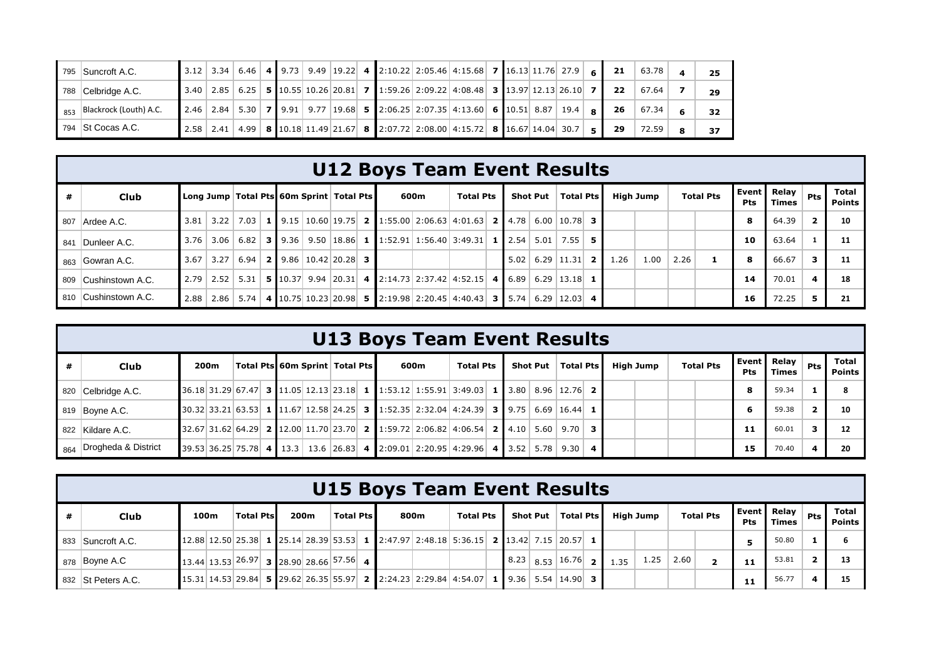| 795 Suncroft A.C.                      |  |  |  |  |  | 3.12 3.34 6.46 4 9.73 9.49 19.22 4 2:10.22 2:05.46 4:15.68 7 16.13 11.76 27.9 6 21                                                                                                         |  |  |    | 63.78 | 25 |
|----------------------------------------|--|--|--|--|--|--------------------------------------------------------------------------------------------------------------------------------------------------------------------------------------------|--|--|----|-------|----|
| 788 Celbridge A.C.                     |  |  |  |  |  | 3.40 2.85 6.25 <b>5</b> 10.55 10.26 20.81 <b>7</b> 1:59.26 2:09.22 4:08.48 <b>3</b> 13.97 12.13 26.10 <b>7</b>                                                                             |  |  | 22 | 67.64 | 29 |
| $\parallel$ 853 Blackrock (Louth) A.C. |  |  |  |  |  | 2.46 2.84 5.30 7 9.91 9.77 19.68 5 2:06.25 2:07.35 4:13.60 6 10.51 8.87 19.4 8                                                                                                             |  |  | 26 | 67.34 | 32 |
| $-794$ St Cocas A.C.                   |  |  |  |  |  | $\mid$ 2.58 $\mid$ 2.41 $\mid$ 4.99 $\mid$ 8 $\mid$ 10.18 11.49 $\mid$ 21.67 $\mid$ 8 $\mid$ 2:07.72 $\mid$ 2:08.00 $\mid$ 4:15.72 $\mid$ 8 $\mid$ 16.67 14.04 $\mid$ 30.7 $\mid$ 5 $\mid$ |  |  | 29 | 72.59 | 37 |

## **U12 Boys Team Event Results**

|     | Club                 |      |         |                      |  | Long Jump   Total Pts   60m Sprint   Total Pts |  |                                                                                              | 600m | <b>Total Pts</b> |      | <b>Shot Put</b> | <b>Total Pts</b>          |  | High Jump |      | <b>Total Pts</b> | Pts | Event Relay<br>Times | <b>Pts</b> | Total<br><b>Points</b> |
|-----|----------------------|------|---------|----------------------|--|------------------------------------------------|--|----------------------------------------------------------------------------------------------|------|------------------|------|-----------------|---------------------------|--|-----------|------|------------------|-----|----------------------|------------|------------------------|
|     | 807 Ardee A.C.       |      |         | $3.81$   3.22   7.03 |  |                                                |  | <b>1</b> 9.15 10.60 19.75 <b>2</b> 1:55.00 2:06.63 4:01.63 <b>2</b> 4.78 6.00 10.78 <b>3</b> |      |                  |      |                 |                           |  |           |      |                  | 8   | 64.39                |            | 10                     |
| 841 | Dunleer A.C.         |      |         |                      |  |                                                |  | $3.76$ $3.06$ $6.82$ 3 9.36 9.50 18.86 1 1:52.91 1:56.40 3:49.31 1 2.54 5.01 7.55 5          |      |                  |      |                 |                           |  |           |      |                  | 10  | 63.64                |            |                        |
| 863 | Gowran A.C.          | 3.67 | $-3.27$ | 6.94                 |  | <b>2</b> 9.86 10.42 20.28 3                    |  |                                                                                              |      |                  | 5.02 |                 | $6.29$   11.31   2   1.26 |  | 1.00      | 2.26 |                  | 8   | 66.67                |            |                        |
|     | 809 Cushinstown A.C. | 2.79 | 2.52    | 5.31                 |  |                                                |  | <b>5</b> 10.37 9.94 20.31 4 2:14.73 2:37.42 4:52.15 4 6.89 6.29 13.18 1                      |      |                  |      |                 |                           |  |           |      |                  | 14  | 70.01                | 4          | 18                     |
|     | 810 Cushinstown A.C. | 2.88 | 2.86    | 5.74                 |  |                                                |  | 4   10.75   10.23   20.98   5   2:19.98   2:20.45   4:40.43   3   5.74   6.29   12.03   4    |      |                  |      |                 |                           |  |           |      |                  | 16  | 72.25                |            |                        |

|     |                     |      |  |  |                                  |  |      | <b>U13 Boys Team Event Results</b>                                                                               |  |          |           |           |                  |     |                             |       |                               |
|-----|---------------------|------|--|--|----------------------------------|--|------|------------------------------------------------------------------------------------------------------------------|--|----------|-----------|-----------|------------------|-----|-----------------------------|-------|-------------------------------|
|     | <b>Club</b>         | 200m |  |  | Total Pts 60m Sprint   Total Pts |  | 600m | <b>Total Pts</b>                                                                                                 |  | Shot Put | Total Pts | High Jump | <b>Total Pts</b> | Pts | Event Relay<br><b>Times</b> | Pts I | <b>Total</b><br><b>Points</b> |
| 820 | Celbridge A.C.      |      |  |  |                                  |  |      | $36.18$ 31.29 67.47 3 11.05 12.13 23.18 1 1:53.12 1:55.91 3:49.03 1 3.80 8.96 12.76 2                            |  |          |           |           |                  | 8   | 59.34                       |       |                               |
|     | 819 Boyne A.C.      |      |  |  |                                  |  |      | $\vert$ 30.32 33.21 63.53 1 11.67 12.58 24.25 3 1:52.35 2:32.04 4:24.39 3 9.75 6.69 16.44 1                      |  |          |           |           |                  | 6   | 59.38                       |       | 10                            |
|     | 822 Kildare A.C.    |      |  |  |                                  |  |      | $32.67$ 31.62 64.29 <b>2</b> 12.00 11.70 23.70 <b>2</b> 1:59.72 2:06.82 4:06.54 <b>2</b> 4.10 5.60 9.70 <b>3</b> |  |          |           |           |                  | 11  | 60.01                       |       | 12                            |
| 864 | Drogheda & District |      |  |  |                                  |  |      | $39.53$ 36.25 75.78 4 13.3 13.6 26.83 4 2:09.01 2:20.95 4:29.96 4 3.52 5.78 9.30 4                               |  |          |           |           |                  | 15  | 70.40                       |       | 20                            |

|                    |      |                                             |  |      |                  |  | <b>U15 Boys Team Event Results</b>                                                                                                                          |                  |  |                                                                         |      |           |      |                  |            |                      |       |                               |
|--------------------|------|---------------------------------------------|--|------|------------------|--|-------------------------------------------------------------------------------------------------------------------------------------------------------------|------------------|--|-------------------------------------------------------------------------|------|-----------|------|------------------|------------|----------------------|-------|-------------------------------|
| Club               | 100m | <b>Total Ptsl</b>                           |  | 200m | <b>Total Pts</b> |  | 800m                                                                                                                                                        | <b>Total Pts</b> |  | Shot Put   Total Pts                                                    |      | High Jump |      | <b>Total Pts</b> | <b>Pts</b> | Event Relay<br>Times | Pts I | <b>Total</b><br><b>Points</b> |
| 833 Suncroft A.C.  |      |                                             |  |      |                  |  | 12.88 12.50 25.38 1 25.14 28.39 53.53 1 2:47.97 2:48.18 5:36.15 2 13.42 7.15 20.57 1                                                                        |                  |  |                                                                         |      |           |      |                  |            | 50.80                |       |                               |
| 878 Boyne A.C      |      | $13.44$ 13.53 $26.97$ 3 28.90 28.66 57.56 4 |  |      |                  |  |                                                                                                                                                             |                  |  | $8.23 \begin{array}{ c c c c c } 8.53 & 16.76 & \textbf{2} \end{array}$ | 1.35 | 1.25      | 2.60 |                  | 11         | 53.81                |       | 13                            |
| 832 St Peters A.C. |      |                                             |  |      |                  |  | $15.31$ $14.53$ $29.84$ <b>5</b> $29.62$ $26.35$ $55.97$ <b>2</b> $2:24.23$ $2:29.84$ $4:54.07$ <b>1</b> $\bullet$ 9.36 $\circ$ 5.54 $\circ$ 14.90 <b>3</b> |                  |  |                                                                         |      |           |      |                  | 11         | 56.77                |       |                               |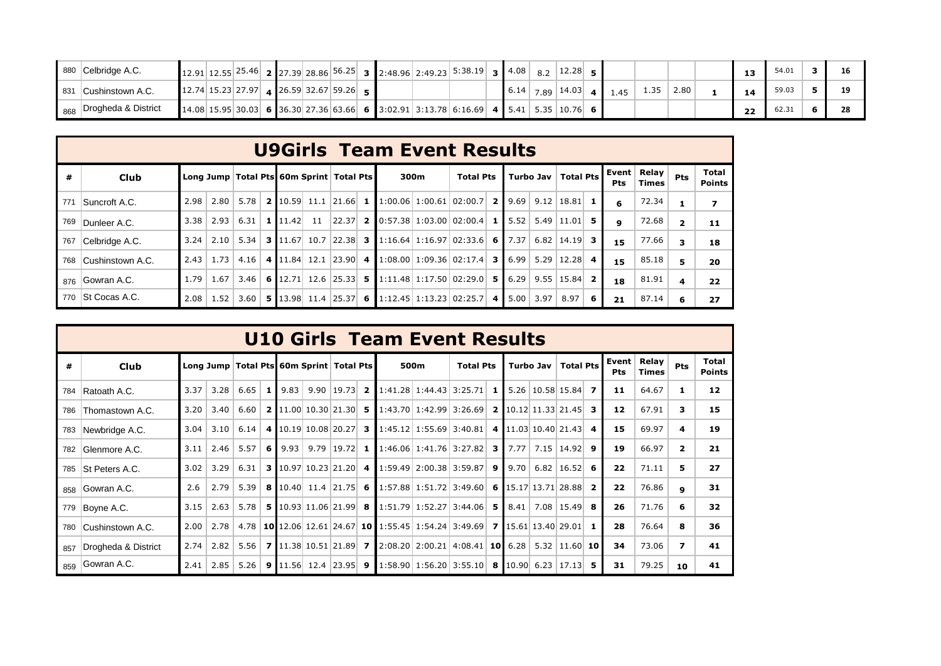|             | 880 Celbridge A.C.  |  |  |  |                                                 |  | $\vert$ 12.91 12.55 25.46 $\vert$ 2 27.39 28.86 56.25 3 2:48.96 2:49.23 5:38.19 3 4.08 8.2   |      | 12.28        |     |      |      | 13 | 54.01 |  |
|-------------|---------------------|--|--|--|-------------------------------------------------|--|----------------------------------------------------------------------------------------------|------|--------------|-----|------|------|----|-------|--|
| <b>8</b> 31 | Cushinstown A.C.    |  |  |  | $\vert$ 12.74 15.23 27.97 4 26.59 32.67 59.26 5 |  |                                                                                              | 6.14 | $7.89$ 14.03 | .45 | 1.35 | 2.80 |    | 59.03 |  |
| 868         | Drogheda & District |  |  |  |                                                 |  | $\mid$ 14.08 15.95 30.03 6 36.30 27.36 63.66 6 3:02.91 3:13.78 6:16.69 4 5.41 5.35 10.76 6 6 |      |              |     |      |      | 22 | 62.31 |  |

|     |                  |      |                  |      |                               |                                                |  |      | <b>U9Girls Team Event Results</b>                                         |       |      |                       |   |              |                       |                |                               |
|-----|------------------|------|------------------|------|-------------------------------|------------------------------------------------|--|------|---------------------------------------------------------------------------|-------|------|-----------------------|---|--------------|-----------------------|----------------|-------------------------------|
| #   | Club             |      |                  |      |                               | Long Jump   Total Pts   60m Sprint   Total Pts |  | 300m | <b>Total Pts</b>                                                          |       |      | Turbo Jav   Total Pts |   | Event<br>Pts | Relay<br><b>Times</b> | <b>Pts</b>     | <b>Total</b><br><b>Points</b> |
| 771 | Suncroft A.C.    | 2.98 | 2.80             |      |                               |                                                |  |      | 5.78 <b>2</b> 10.59 11.1 21.66 <b>1</b> 1:00.06 1:00.61 02:00.7 <b>2</b>  | 9.69  |      | $9.12$   18.81   1    |   | 6            | 72.34                 |                |                               |
| 769 | Dunleer A.C.     | 3.38 | 2.93             | 6.31 | $1 \mid 11.42 \mid 11$        | 22.37 2                                        |  |      | $\vert 0.57.38 \vert 1.03.00 \vert 02.00.4 \vert$ 1                       | 5.52  |      | $5.49$   11.01   5    |   | 9            | 72.68                 | $\overline{2}$ | 11                            |
| 767 | Celbridge A.C.   | 3.24 | 2.10             |      |                               |                                                |  |      | $5.34$ 3 11.67 10.7 22.38 3 1:16.64 1:16.97 02:33.6 6                     | 17.37 | 6.82 | $14.19$ 3             |   | 15           | 77.66                 | 3              | 18                            |
| 768 | Cushinstown A.C. |      | $2.43 \mid 1.73$ | 4.16 |                               | 4 11.84 12.1 23.90 4                           |  |      | $1:08.00 \mid 1:09.36 \mid 02:17.4 \mid$ 3                                | 6.99  |      | $5.29$   12.28   4    |   | 15           | 85.18                 | 5.             | 20                            |
| 876 | Gowran A.C.      | 1.79 | 1.67             |      |                               |                                                |  |      | $3.46$ 6 12.71 12.6 25.33 5 1:11.48 1:17.50 02:29.0 5                     | 6.29  |      | $9.55$   15.84   2    |   | 18           | 81.91                 | 4              | 22                            |
| 770 | St Cocas A.C.    | 2.08 | 1.52             | 3.60 | $5 \mid 13.98 \mid 11.4 \mid$ |                                                |  |      | $\begin{bmatrix} 25.37 \end{bmatrix}$ 6   1:12.45   1:13.23   02:25.7   4 | 5.00  | 3.97 | 8.97                  | 6 | 21           | 87.14                 | 6              | 27                            |

|     |                     |      |      |                                              |   |      |                                        |                     | <b>U10 Girls Team Event Results</b>                                                          |      |                             |   |      |           |                                     |                |                     |                |                |                        |
|-----|---------------------|------|------|----------------------------------------------|---|------|----------------------------------------|---------------------|----------------------------------------------------------------------------------------------|------|-----------------------------|---|------|-----------|-------------------------------------|----------------|---------------------|----------------|----------------|------------------------|
| #   | Club                |      |      | Long Jump   Total Pts 60m Sprint   Total Pts |   |      |                                        |                     |                                                                                              | 500m | <b>Total Pts</b>            |   |      | Turbo Jav | <b>Total Pts</b>                    |                | Event<br><b>Pts</b> | Relay<br>Times | <b>Pts</b>     | Total<br><b>Points</b> |
| 784 | Ratoath A.C.        | 3.37 | 3.28 | $6.65$ 1                                     |   | 9.83 |                                        | $9.90$   19.73   2  | $1:41.28$ 1:44.43 3:25.71 1                                                                  |      |                             |   |      |           | $5.26 \mid 10.58 \mid 15.84 \mid$ 7 |                | 11                  | 64.67          | 1              | 12                     |
| 786 | Thomastown A.C.     | 3.20 | 3.40 | 6.60                                         |   |      | <b>2</b> 11.00 10.30 21.30 5           |                     | $1:43.70$   1:42.99   3:26.69   2   10.12   11.33   21.45                                    |      |                             |   |      |           |                                     | з.             | 12                  | 67.91          | 3              | 15                     |
| 783 | Newbridge A.C.      | 3.04 | 3.10 | 6.14                                         |   |      | 4 $10.19 \mid 10.08 \mid 20.27 \mid$ 3 |                     |                                                                                              |      | $1:45.12$ $1:55.69$ 3:40.81 |   |      |           | 4 11.03 10.40 21.43                 | 4              | 15                  | 69.97          | 4              | 19                     |
| 782 | Glenmore A.C.       | 3.11 | 2.46 | 5.57                                         | 6 | 9.93 |                                        | 9.79 19.72 <b>1</b> | $1:46.06$ 1:41.76 3:27.82                                                                    |      |                             | 3 | 7.77 |           | 7.15   14.92                        | -9             | 19                  | 66.97          | $\overline{2}$ | 21                     |
| 785 | St Peters A.C.      | 3.02 | 3.29 | 6.31                                         |   |      | <b>3</b> 10.97 10.23 21.20 4           |                     | $1:59.49$ 2:00.38 3:59.87 9                                                                  |      |                             |   | 9.70 |           | $6.82$   16.52   6                  |                | 22                  | 71.11          | 5              | 27                     |
| 858 | Gowran A.C.         | 2.6  | 2.79 | 5.39                                         |   |      | <b>8</b> 10.40 11.4 21.75 6            |                     | $\mid$ 1:57.88 1:51.72 3:49.60 6 15.17 13.71 28.88                                           |      |                             |   |      |           |                                     | $\overline{2}$ | 22                  | 76.86          | $\mathbf{9}$   | 31                     |
| 779 | Boyne A.C.          | 3.15 | 2.63 |                                              |   |      | $5.78$ 5 10.93 11.06 21.99 8           |                     | $1:51.79$ 1:52.27 3:44.06 5                                                                  |      |                             |   |      |           | $8.41$ 7.08 15.49 8                 |                | 26                  | 71.76          | 6              | 32                     |
| 780 | Cushinstown A.C.    | 2.00 | 2.78 | 4.78                                         |   |      |                                        |                     | 10 12.06 12.61 24.67 10 1:55.45 1:54.24 3:49.69 7 15.61 13.40 29.01                          |      |                             |   |      |           |                                     | -1             | 28                  | 76.64          | 8              | 36                     |
| 857 | Drogheda & District | 2.74 | 2.82 | 5.56                                         |   |      | 7 11.38 10.51 21.89 7                  |                     | $2:08.20$ 2:00.21 4:08.41 10 6.28                                                            |      |                             |   |      |           | $5.32$   11.60   10                 |                | 34                  | 73.06          | 7              | 41                     |
| 859 | Gowran A.C.         | 2.41 | 2.85 | 5.26                                         |   |      | <b>9</b> 11.56 12.4 23.95 <b>9</b>     |                     | $\vert 1:58.90 \vert 1:56.20 \vert 3:55.10 \vert 8 \vert 10.90 \vert 6.23 \vert 17.13 \vert$ |      |                             |   |      |           |                                     |                | 31                  | 79.25          | 10             | 41                     |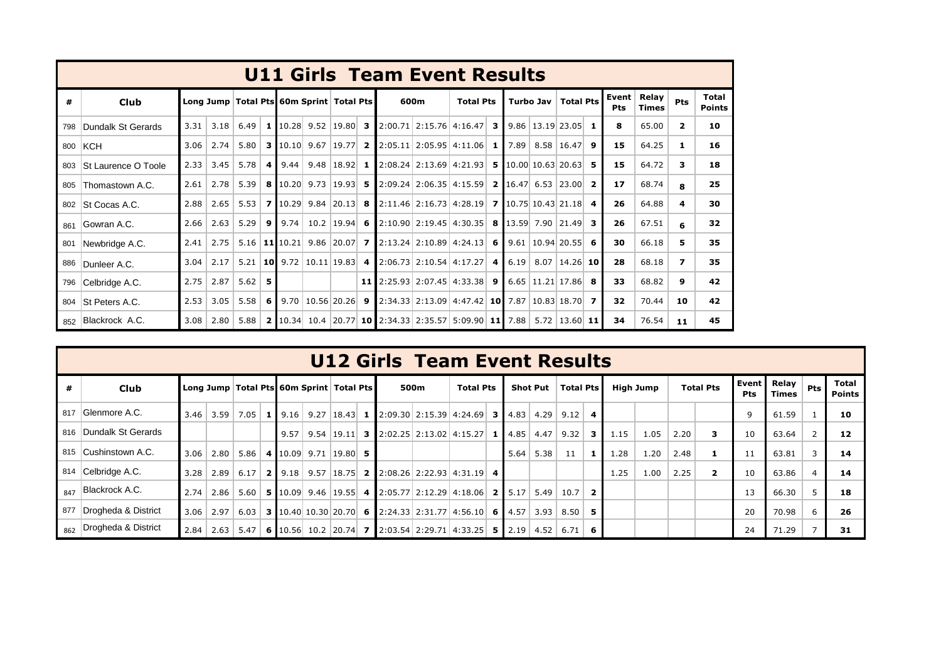|     |                     |      |      |                                              |     |                |                |  |      | <b>U11 Girls Team Event Results</b>                                                                    |      |           |                            |                  |                     |                |                |                        |
|-----|---------------------|------|------|----------------------------------------------|-----|----------------|----------------|--|------|--------------------------------------------------------------------------------------------------------|------|-----------|----------------------------|------------------|---------------------|----------------|----------------|------------------------|
| #   | <b>Club</b>         |      |      | Long Jump   Total Pts 60m Sprint   Total Pts |     |                |                |  | 600m | <b>Total Pts</b>                                                                                       |      | Turbo Jav | <b>Total Pts</b>           |                  | Event<br><b>Pts</b> | Relay<br>Times | Pts            | Total<br><b>Points</b> |
| 798 | Dundalk St Gerards  | 3.31 | 3.18 | 6.49                                         |     | $1$ 10.28 9.52 |                |  |      | $\vert 19.80 \vert$ 3 2:00.71 2:15.76 4:16.47 3                                                        |      |           | $9.86$   13.19   23.05     | -1               | 8                   | 65.00          | $\overline{2}$ | 10                     |
| 800 | <b>KCH</b>          | 3.06 | 2.74 |                                              |     |                |                |  |      | 5.80 3 10.10 9.67 19.77 2 2:05.11 2:05.95 4:11.06 1                                                    | 7.89 |           | $8.58$   16.47             | 9                | 15                  | 64.25          | 1              | 16                     |
| 803 | St Laurence O Toole | 2.33 | 3.45 | 5.78                                         | 4   | 9.44           | $9.48$ 18.92 1 |  |      | $2:08.24$ 2:13.69 4:21.93 5                                                                            |      |           | $10.00$ 10.63 20.63        | -5               | 15                  | 64.72          | з.             | 18                     |
| 805 | Thomastown A.C.     | 2.61 | 2.78 | 5.39                                         |     |                |                |  |      | 8 10.20 9.73 19.93 5 2:09.24 2:06.35 4:15.59 2 16.47 6.53 23.00                                        |      |           |                            | $\overline{2}$   | 17                  | 68.74          | 8              | 25                     |
| 802 | St Cocas A.C.       | 2.88 | 2.65 |                                              |     |                |                |  |      | 5.53 7 10.29 9.84 20.13 8 2:11.46 2:16.73 4:28.19 7 10.75 10.43 21.18                                  |      |           |                            | $\boldsymbol{4}$ | 26                  | 64.88          | 4              | 30                     |
| 861 | Gowran A.C.         | 2.66 | 2.63 | 5.29                                         | 9   | 9.74           | $10.2$ 19.94 6 |  |      | $2:10.90$ 2:19.45 4:30.35 8                                                                            |      |           | 13.59 7.90 21.49           | 3                | 26                  | 67.51          | 6              | 32                     |
| 801 | Newbridge A.C.      | 2.41 | 2.75 |                                              |     |                |                |  |      | $5.16$   11   10.21   9.86   20.07   7   2:13.24   2:10.89   4:24.13   6                               |      |           | $9.61$   10.94   20.55     | -6               | 30                  | 66.18          | 5.             | 35                     |
| 886 | Dunleer A.C.        | 3.04 | 2.17 | 5.21                                         |     |                |                |  |      | 10   9.72   10.11   19.83   4   2:06.73   2:10.54   4:17.27   4                                        | 6.19 |           | $8.07$   14.26   10        |                  | 28                  | 68.18          | 7              | 35                     |
| 796 | Celbridge A.C.      | 2.75 | 2.87 | 5.62                                         | 5   |                |                |  |      | <b>11</b> $2:25.93$ $2:07.45$ $4:33.38$ <b>9</b>                                                       |      |           | $6.65$   11.21   17.86   8 |                  | 33                  | 68.82          | 9              | 42                     |
| 804 | St Peters A.C.      | 2.53 | 3.05 | 5.58                                         | - 6 |                |                |  |      | $\vert$ 9.70 $\vert$ 10.56 $\vert$ 20.26 $\vert$ 9 $\vert$ 2:34.33 2:13.09 4:47.42 10 7.87 10.83 18.70 |      |           |                            | $\overline{ }$   | 32                  | 70.44          | 10             | 42                     |
|     | 852 Blackrock A.C.  | 3.08 | 2.80 | 5.88                                         |     |                |                |  |      | 2 10.34 10.4 20.77 10 2:34.33 2:35.57 5:09.90 11 7.88                                                  |      |           | $5.72$   13.60   11        |                  | 34                  | 76.54          | 11             | 45                     |

|   |                         |      |               |      |      |                                              | <b>U12 Girls Team Event Results</b>                                                                                                   |      |                  |      |                 |                  |    |      |           |      |                         |                            |                       |       |                               |
|---|-------------------------|------|---------------|------|------|----------------------------------------------|---------------------------------------------------------------------------------------------------------------------------------------|------|------------------|------|-----------------|------------------|----|------|-----------|------|-------------------------|----------------------------|-----------------------|-------|-------------------------------|
| # | Club                    |      |               |      |      | Long Jump   Total Pts 60m Sprint   Total Pts |                                                                                                                                       | 500m | <b>Total Pts</b> |      | <b>Shot Put</b> | <b>Total Pts</b> |    |      | High Jump |      | <b>Total Pts</b>        | <b>Event</b><br><b>Pts</b> | Relay<br><b>Times</b> | Pts I | <b>Total</b><br><b>Points</b> |
|   | 817 Glenmore A.C.       |      | $3.46$   3.59 | 7.05 |      |                                              | <b>1</b> 9.16 9.27 18.43 <b>1</b> 2:09.30 2:15.39 4:24.69 <b>3</b> 4.83 4.29                                                          |      |                  |      |                 | 9.12             |    |      |           |      |                         | 9                          | 61.59                 |       | 10                            |
|   | 816 Dundalk St Gerards  |      |               |      | 9.57 |                                              | 9.54   19.11   3   2:02.25   2:13.02   4:15.27   1   4.85   4.47                                                                      |      |                  |      |                 | 9.32             | 3  | 1.15 | 1.05      | 2.20 | $\mathbf{3}$            | 10                         | 63.64                 |       | 12                            |
|   | 815 Cushinstown A.C.    | 3.06 | 2.80          | 5.86 |      | 4 $10.09$ 9.71 19.80 5                       |                                                                                                                                       |      |                  | 5.64 | 5.38            | 11               |    | 1.28 | 1.20      | 2.48 | 1                       |                            | 63.81                 |       | 14                            |
|   | 814 Celbridge A.C.      | 3.28 | 2.89          | 6.17 |      |                                              | <b>2</b> $\begin{bmatrix} 9.18 & 9.57 & 18.75 \end{bmatrix}$ <b>2</b> $\begin{bmatrix} 2.08.26 & 2.22.93 & 4.31.19 & 4 \end{bmatrix}$ |      |                  |      |                 |                  |    | 1.25 | 1.00      | 2.25 | $\overline{\mathbf{2}}$ | 10                         | 63.86                 |       | 14                            |
|   | $B_{47}$ Blackrock A.C. | 2.74 | 2.86          | 5.60 |      |                                              | <b>5</b> 10.09 9.46 19.55 4 2:05.77 2:12.29 4:18.06 2 5.17 5.49                                                                       |      |                  |      |                 | 10.7             |    |      |           |      |                         | 13                         | 66.30                 |       | 18                            |
|   | 877 Drogheda & District |      | $3.06$ 2.97   | 6.03 |      |                                              | <b>3</b> 10.40 10.30 20.70 6 2:24.33 2:31.77 4:56.10 6 4.57 3.93                                                                      |      |                  |      |                 | 8.50             | -5 |      |           |      |                         | 20                         | 70.98                 | 6     | 26                            |
|   | 862 Drogheda & District |      | $2.84$   2.63 | 5.47 |      |                                              | <b>6</b> 10.56 10.2 20.74 <b>7</b> 2:03.54 2:29.71 4:33.25 <b>5</b> 2.19                                                              |      |                  |      | 4.52            | 6.71             |    |      |           |      |                         | 24                         | 71.29                 |       | 31                            |